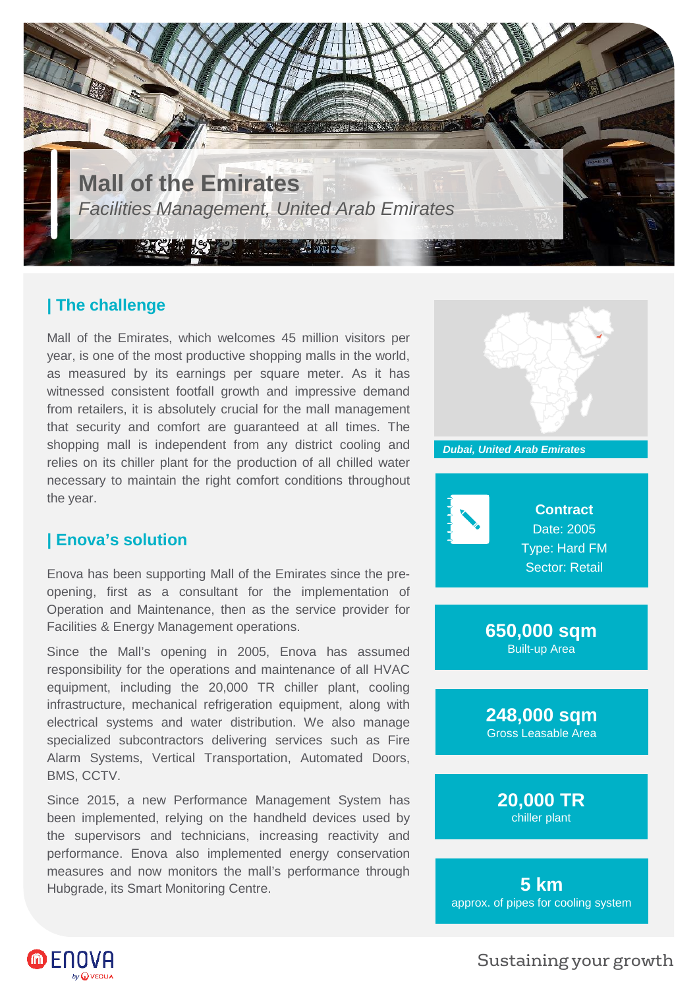

## **| The challenge**

Mall of the Emirates, which welcomes 45 million visitors per year, is one of the most productive shopping malls in the world, as measured by its earnings per square meter. As it has witnessed consistent footfall growth and impressive demand from retailers, it is absolutely crucial for the mall management that security and comfort are guaranteed at all times. The shopping mall is independent from any district cooling and relies on its chiller plant for the production of all chilled water necessary to maintain the right comfort conditions throughout the year.

## **| Enova's solution**

Enova has been supporting Mall of the Emirates since the preopening, first as a consultant for the implementation of Operation and Maintenance, then as the service provider for Facilities & Energy Management operations.

Since the Mall's opening in 2005, Enova has assumed responsibility for the operations and maintenance of all HVAC equipment, including the 20,000 TR chiller plant, cooling infrastructure, mechanical refrigeration equipment, along with electrical systems and water distribution. We also manage specialized subcontractors delivering services such as Fire Alarm Systems, Vertical Transportation, Automated Doors, BMS, CCTV.

Since 2015, a new Performance Management System has been implemented, relying on the handheld devices used by the supervisors and technicians, increasing reactivity and performance. Enova also implemented energy conservation measures and now monitors the mall's performance through Hubgrade, its Smart Monitoring Centre.



Sustaining your growth